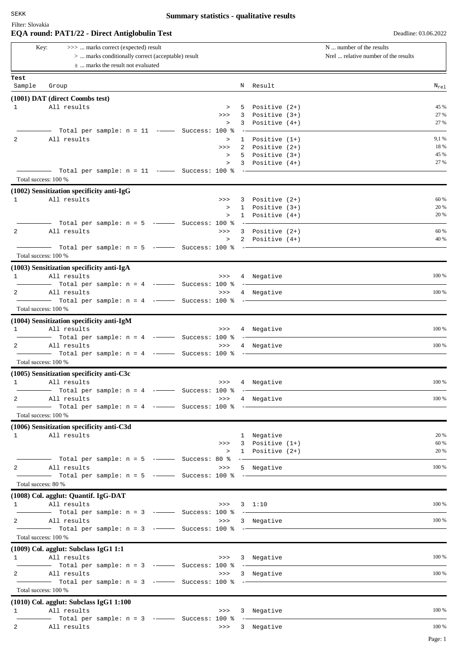Filter: Slovakia

**EQA round: PAT1/22 - Direct Antiglobulin Test** Deadline: 03.06.2022

| Key:                 | >>>  marks correct (expected) result<br>>  marks conditionally correct (acceptable) result |                   |                          | N  number of the results<br>Nrel  relative number of the results |
|----------------------|--------------------------------------------------------------------------------------------|-------------------|--------------------------|------------------------------------------------------------------|
|                      | $\pm$ marks the result not evaluated                                                       |                   |                          |                                                                  |
| Test<br>Sample       | Group                                                                                      |                   | N Result                 | $N_{rel}$                                                        |
|                      | (1001) DAT (direct Coombs test)                                                            |                   |                          |                                                                  |
| 1                    | All results<br>$\, > \,$                                                                   | 5                 | Positive $(2+)$          | 45 %                                                             |
|                      | >>                                                                                         | 3                 | Positive $(3+)$          | 27 %                                                             |
|                      | $\, >$                                                                                     | 3                 | Positive $(4+)$          | 27 %                                                             |
|                      | Total per sample: $n = 11$ -- Success: 100 %                                               |                   |                          |                                                                  |
| 2                    | All results<br>$\, > \,$                                                                   | 1                 | Positive $(1+)$          | 9,1 %                                                            |
|                      | >>                                                                                         | 2                 | Positive $(2+)$          | 18 %                                                             |
|                      | $\geq$                                                                                     | 5                 | Positive $(3+)$          | 45 %                                                             |
|                      | $\, >$                                                                                     | 3                 | Positive $(4+)$          | 27 %                                                             |
|                      | Total per sample: $n = 11$ -- Success: 100 %                                               |                   |                          |                                                                  |
| Total success: 100 % |                                                                                            |                   |                          |                                                                  |
|                      |                                                                                            |                   |                          |                                                                  |
|                      | (1002) Sensitization specificity anti-IgG                                                  |                   |                          |                                                                  |
| $\mathbf{1}$         | All results<br>>>                                                                          | 3                 | Positive $(2+)$          | 60 %                                                             |
|                      | $\geq$                                                                                     | $\mathbf{1}$      | Positive $(3+)$          | 20 %                                                             |
|                      | $\, >$                                                                                     | $\mathbf{1}$      | Positive $(4+)$          | 20 %                                                             |
|                      | Total per sample: $n = 5$ -- Success: 100 %                                                |                   |                          |                                                                  |
| 2                    | All results<br>>>                                                                          |                   | 3 Positive (2+)          | 60 %                                                             |
|                      | $\, >$                                                                                     |                   | 2 Positive (4+)          | 40 %                                                             |
|                      | $-$ Total per sample: $n = 5$ - $-$ Success: 100 %                                         | $\qquad \qquad -$ |                          |                                                                  |
|                      | Total success: 100 %                                                                       |                   |                          |                                                                  |
|                      | (1003) Sensitization specificity anti-IgA                                                  |                   |                          |                                                                  |
| $\mathbf{1}$         | All results                                                                                |                   |                          | 100 %                                                            |
|                      | >>                                                                                         |                   | 4 Negative               |                                                                  |
|                      | - Total per sample: $n = 4$ --- Success: 100 %                                             |                   |                          |                                                                  |
| 2                    | All results<br>>>                                                                          |                   | 4 Negative               | 100 %                                                            |
|                      | - Total per sample: n = 4 -- Success: 100 %                                                |                   |                          |                                                                  |
| Total success: 100 % |                                                                                            |                   |                          |                                                                  |
|                      | (1004) Sensitization specificity anti-IgM                                                  |                   |                          |                                                                  |
| 1                    | All results<br>>>                                                                          |                   | 4 Negative               | 100 %                                                            |
|                      | -- Total per sample: n = 4 ------- Success: 100 %                                          |                   |                          |                                                                  |
| 2                    | All results<br>>>                                                                          |                   | 4 Negative               | 100 %                                                            |
|                      | Total per sample: n = 4 -- Success: 100 %                                                  |                   |                          |                                                                  |
| Total success: 100 % |                                                                                            |                   |                          |                                                                  |
|                      |                                                                                            |                   |                          |                                                                  |
|                      | (1005) Sensitization specificity anti-C3c                                                  |                   |                          |                                                                  |
| 1                    | All results<br>>>                                                                          |                   | 4 Negative               | 100 %                                                            |
|                      | Total per sample: $n = 4$ - Success: 100 %                                                 |                   | _ <del>___________</del> |                                                                  |
| $\mathbf{2}$         | All results<br>>>>                                                                         |                   | 4 Negative               | 100 %                                                            |
|                      | Total per sample: n = 4 --- Success: 100 % -----                                           |                   |                          |                                                                  |
| Total success: 100 % |                                                                                            |                   |                          |                                                                  |
|                      | (1006) Sensitization specificity anti-C3d                                                  |                   |                          |                                                                  |
|                      |                                                                                            |                   |                          | 20 %                                                             |
|                      | 1 All results                                                                              |                   | 1 Negative               | 60 %                                                             |
|                      |                                                                                            |                   | $\gg$ 3 Positive $(1+)$  |                                                                  |
|                      |                                                                                            |                   | $> 1$ Positive $(2+)$    | 20 %                                                             |
|                      |                                                                                            |                   |                          |                                                                  |
|                      | 2 All results                                                                              |                   | >>> 5 Negative           | 100 %                                                            |
|                      |                                                                                            |                   |                          |                                                                  |
| Total success: 80 %  |                                                                                            |                   |                          |                                                                  |
|                      | (1008) Col. agglut: Quantif. IgG-DAT                                                       |                   |                          |                                                                  |
|                      | 1 All results                                                                              |                   | $\gg$ 3 1:10             | 100 %                                                            |
|                      |                                                                                            |                   |                          |                                                                  |
| $\mathbf{2}$         | All results                                                                                |                   | >>> 3 Negative           | 100 %                                                            |
|                      |                                                                                            |                   |                          |                                                                  |
| Total success: 100 % |                                                                                            |                   |                          |                                                                  |
|                      |                                                                                            |                   |                          |                                                                  |
|                      | $(1009)$ Col. agglut: Subclass IgG1 1:1                                                    |                   |                          |                                                                  |
| $1 \quad \Box$       | All results                                                                                |                   | >>> 3 Negative           | 100 %                                                            |
|                      | Total per sample: $n = 3$ --- Success: 100 % --                                            |                   |                          |                                                                  |
|                      | 2 All results<br>>>                                                                        |                   | 3 Negative               | 100 %                                                            |
|                      | Total per sample: n = 3 --- Success: 100 % ------                                          |                   |                          |                                                                  |
| Total success: 100 % |                                                                                            |                   |                          |                                                                  |
|                      | $(1010)$ Col. agglut: Subclass IgG1 1:100                                                  |                   |                          |                                                                  |
|                      |                                                                                            |                   |                          | 100 %                                                            |
| $\mathbf{1}$         | All results<br>>>                                                                          |                   | 3 Negative               |                                                                  |
|                      |                                                                                            |                   |                          |                                                                  |
|                      | 2 All results                                                                              |                   | >>> 3 Negative           | 100 %                                                            |
|                      |                                                                                            |                   |                          | Page: 1                                                          |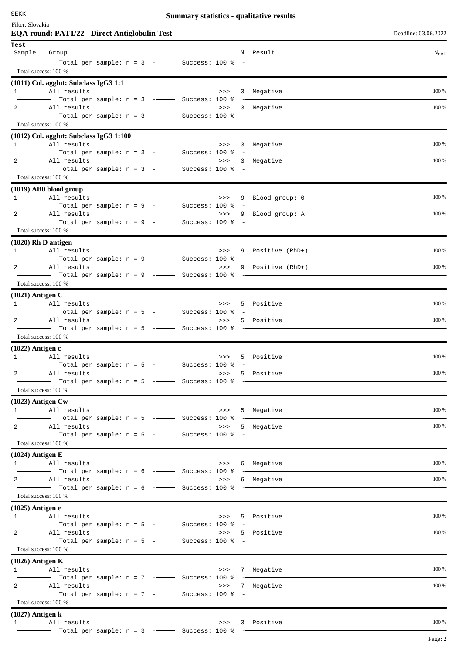SEKK

## **Summary statistics - qualitative results**

| EQA round: PAT1/22 - Direct Antiglobulin Test                                                                                                                                                                                                                                                                                                                                                                                     |                |     |                       | Deadline: 03.06.2022 |
|-----------------------------------------------------------------------------------------------------------------------------------------------------------------------------------------------------------------------------------------------------------------------------------------------------------------------------------------------------------------------------------------------------------------------------------|----------------|-----|-----------------------|----------------------|
| Test<br>Sample Group                                                                                                                                                                                                                                                                                                                                                                                                              |                |     | N Result              | $N_{\text{rel}}$     |
| $\frac{1}{\sqrt{1-\frac{1}{\sqrt{1-\frac{1}{\sqrt{1-\frac{1}{\sqrt{1-\frac{1}{\sqrt{1-\frac{1}{\sqrt{1-\frac{1}{\sqrt{1-\frac{1}{\sqrt{1-\frac{1}{\sqrt{1-\frac{1}{\sqrt{1-\frac{1}{\sqrt{1-\frac{1}{\sqrt{1-\frac{1}{\sqrt{1-\frac{1}{\sqrt{1-\frac{1}{\sqrt{1-\frac{1}{\sqrt{1-\frac{1}{\sqrt{1-\frac{1}{\sqrt{1-\frac{1}{\sqrt{1-\frac{1}{\sqrt{1-\frac{1}{\sqrt{1-\frac{1}{\sqrt{1-\frac{1}{\sqrt{1-\frac{1}{\sqrt{1-\frac{1$ |                |     |                       |                      |
| Total success: 100 %                                                                                                                                                                                                                                                                                                                                                                                                              |                |     |                       |                      |
| $(1011)$ Col. agglut: Subclass IgG3 1:1                                                                                                                                                                                                                                                                                                                                                                                           |                |     |                       |                      |
| 1 All results<br>Total per sample: n = 3 -- Success: 100 % --                                                                                                                                                                                                                                                                                                                                                                     |                |     | >>> 3 Negative        | 100 %                |
| 2 All results                                                                                                                                                                                                                                                                                                                                                                                                                     |                | >>> | 3 Negative            | 100 %                |
| Total per sample: n = 3 -- Success: 100 % --<br>Total success: 100 %                                                                                                                                                                                                                                                                                                                                                              |                |     |                       |                      |
| (1012) Col. agglut: Subclass IgG3 1:100                                                                                                                                                                                                                                                                                                                                                                                           |                |     |                       |                      |
| 1 All results                                                                                                                                                                                                                                                                                                                                                                                                                     |                | >>> | 3 Negative            | 100 %                |
| $2 \left( \frac{1}{2} \right)$<br>All results                                                                                                                                                                                                                                                                                                                                                                                     |                | >>> | 3 Negative            | 100 %                |
|                                                                                                                                                                                                                                                                                                                                                                                                                                   |                |     |                       |                      |
| Total success: 100 %                                                                                                                                                                                                                                                                                                                                                                                                              |                |     |                       |                      |
| (1019) AB0 blood group<br>1 All results                                                                                                                                                                                                                                                                                                                                                                                           |                |     | >>> 9 Blood group: 0  | 100 %                |
|                                                                                                                                                                                                                                                                                                                                                                                                                                   |                |     |                       |                      |
| 2 All results                                                                                                                                                                                                                                                                                                                                                                                                                     |                |     | >>> 9 Blood group: A  | 100 %                |
| Total success: 100 %                                                                                                                                                                                                                                                                                                                                                                                                              |                |     |                       |                      |
| $(1020)$ Rh D antigen                                                                                                                                                                                                                                                                                                                                                                                                             |                |     |                       |                      |
| 1 All results                                                                                                                                                                                                                                                                                                                                                                                                                     |                |     | >>> 9 Positive (RhD+) | 100 %                |
| 2 All results                                                                                                                                                                                                                                                                                                                                                                                                                     |                | >>> | 9 Positive (RhD+)     | 100 %                |
| Total per sample: n = 9 -- Success: 100 % -<br>Total success: 100 %                                                                                                                                                                                                                                                                                                                                                               |                |     |                       |                      |
| $(1021)$ Antigen C                                                                                                                                                                                                                                                                                                                                                                                                                |                |     |                       |                      |
| 1 All results                                                                                                                                                                                                                                                                                                                                                                                                                     |                | >>> | 5 Positive            | 100 %                |
| 2 All results                                                                                                                                                                                                                                                                                                                                                                                                                     |                | >>> | 5 Positive            | 100 %                |
| Total success: 100 %                                                                                                                                                                                                                                                                                                                                                                                                              |                |     |                       |                      |
| $(1022)$ Antigen c                                                                                                                                                                                                                                                                                                                                                                                                                |                |     |                       |                      |
| 1 All results                                                                                                                                                                                                                                                                                                                                                                                                                     |                |     | >>> 5 Positive        | 100 %                |
| - Total per sample: $n = 5$ -- Success: 100 % -<br>2 All results                                                                                                                                                                                                                                                                                                                                                                  |                | >>> | 5 Positive            | 100 %                |
|                                                                                                                                                                                                                                                                                                                                                                                                                                   |                |     |                       |                      |
| Total success: 100 %                                                                                                                                                                                                                                                                                                                                                                                                              |                |     |                       |                      |
| $(1023)$ Antigen Cw<br>1 All results                                                                                                                                                                                                                                                                                                                                                                                              |                |     | >>> 5 Negative        | 100 %                |
| - Total per sample: n = 5 -- Success: 100 % --                                                                                                                                                                                                                                                                                                                                                                                    |                |     |                       |                      |
| $\mathbf{2}$<br>All results<br>Total per sample: $n = 5$ - Success: 100 % -                                                                                                                                                                                                                                                                                                                                                       | >>> 5 Negative |     |                       | 100 %                |
| Total success: 100 %                                                                                                                                                                                                                                                                                                                                                                                                              |                |     |                       |                      |
| $(1024)$ Antigen E                                                                                                                                                                                                                                                                                                                                                                                                                |                |     |                       | 100 %                |
| 1 All results<br>$\frac{1}{1}$ Total per sample: n = 6 - $\frac{1}{1}$ Success: 100 % - $\frac{1}{1}$                                                                                                                                                                                                                                                                                                                             |                |     | >>> 6 Negative        |                      |
| 2 All results                                                                                                                                                                                                                                                                                                                                                                                                                     | >>> 6 Negative |     |                       | 100 %                |
| Total success: 100 %                                                                                                                                                                                                                                                                                                                                                                                                              |                |     |                       |                      |
| $(1025)$ Antigen e                                                                                                                                                                                                                                                                                                                                                                                                                |                |     |                       |                      |
| 1 All results                                                                                                                                                                                                                                                                                                                                                                                                                     |                |     | >>> 5 Positive        | 100 %                |
| 2 All results                                                                                                                                                                                                                                                                                                                                                                                                                     |                | >>> | 5 Positive            | 100 %                |
| $\frac{1}{2}$ Total per sample: n = 5 - $\frac{1}{2}$ Success: 100 % - $\frac{1}{2}$<br>Total success: 100 %                                                                                                                                                                                                                                                                                                                      |                |     |                       |                      |
| $(1026)$ Antigen K                                                                                                                                                                                                                                                                                                                                                                                                                |                |     |                       |                      |
| 1 All results                                                                                                                                                                                                                                                                                                                                                                                                                     |                |     | >>> 7 Negative        | 100 %                |
| 2 All results                                                                                                                                                                                                                                                                                                                                                                                                                     | >>> 7 Negative |     |                       | 100 %                |
| Total per sample: $n = 7$ - Success: 100 % -                                                                                                                                                                                                                                                                                                                                                                                      |                |     |                       |                      |
| Total success: 100 %                                                                                                                                                                                                                                                                                                                                                                                                              |                |     |                       |                      |
| $(1027)$ Antigen k<br>1 All results                                                                                                                                                                                                                                                                                                                                                                                               |                |     | >>> 3 Positive        | 100 %                |

 $\frac{1}{\sqrt{2}}$  Total per sample: n = 3 - $\frac{1}{\sqrt{2}}$  Success: 100 % - $\frac{1}{\sqrt{2}}$ 

Page: 2